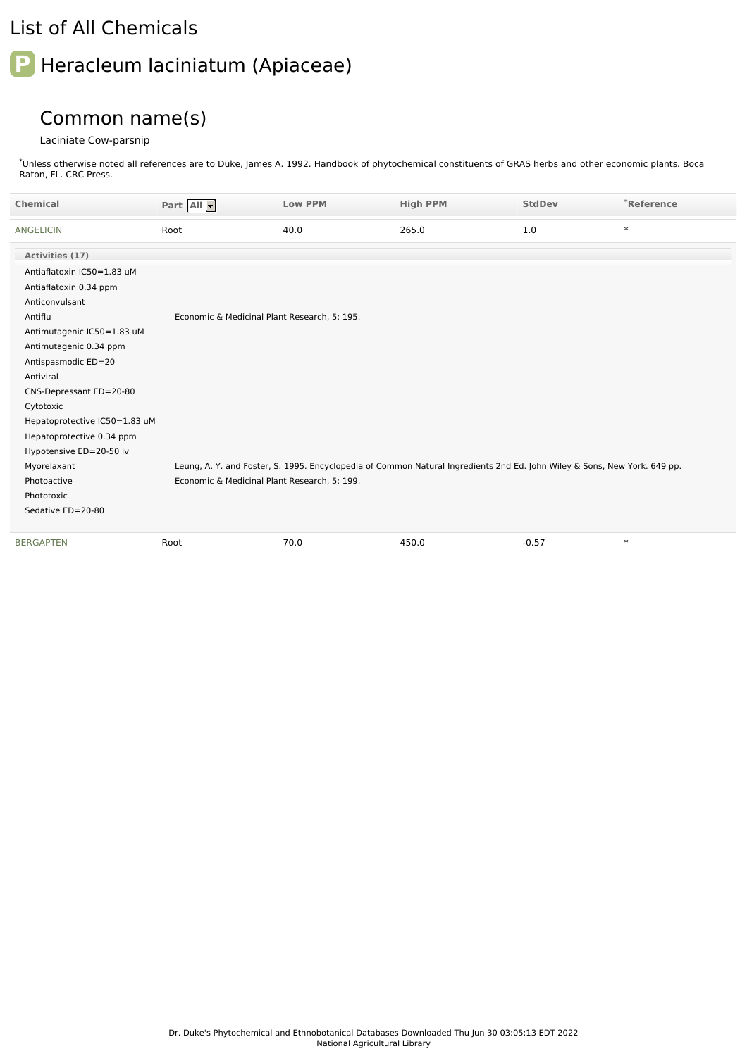## List of All Chemicals

## **P** Heracleum laciniatum (Apiaceae)

## Common name(s)

## Laciniate Cow-parsnip

Unless otherwise noted all references are to Duke, James A. 1992. Handbook of phytochemical constituents of GRAS herbs and other economic plants. Boca Raton, FL. CRC Press. \*

| <b>Chemical</b>               | Part All                                     | <b>Low PPM</b> | <b>High PPM</b>                                                                                                           | <b>StdDev</b> | *Reference |
|-------------------------------|----------------------------------------------|----------------|---------------------------------------------------------------------------------------------------------------------------|---------------|------------|
| <b>ANGELICIN</b>              | Root                                         | 40.0           | 265.0                                                                                                                     | 1.0           | $\ast$     |
| Activities (17)               |                                              |                |                                                                                                                           |               |            |
| Antiaflatoxin IC50=1.83 uM    |                                              |                |                                                                                                                           |               |            |
| Antiaflatoxin 0.34 ppm        |                                              |                |                                                                                                                           |               |            |
| Anticonvulsant                |                                              |                |                                                                                                                           |               |            |
| Antiflu                       | Economic & Medicinal Plant Research, 5: 195. |                |                                                                                                                           |               |            |
| Antimutagenic IC50=1.83 uM    |                                              |                |                                                                                                                           |               |            |
| Antimutagenic 0.34 ppm        |                                              |                |                                                                                                                           |               |            |
| Antispasmodic ED=20           |                                              |                |                                                                                                                           |               |            |
| Antiviral                     |                                              |                |                                                                                                                           |               |            |
| CNS-Depressant ED=20-80       |                                              |                |                                                                                                                           |               |            |
| Cytotoxic                     |                                              |                |                                                                                                                           |               |            |
| Hepatoprotective IC50=1.83 uM |                                              |                |                                                                                                                           |               |            |
| Hepatoprotective 0.34 ppm     |                                              |                |                                                                                                                           |               |            |
| Hypotensive ED=20-50 iv       |                                              |                |                                                                                                                           |               |            |
| Myorelaxant                   |                                              |                | Leung, A. Y. and Foster, S. 1995. Encyclopedia of Common Natural Ingredients 2nd Ed. John Wiley & Sons, New York. 649 pp. |               |            |
| Photoactive                   | Economic & Medicinal Plant Research, 5: 199. |                |                                                                                                                           |               |            |
| Phototoxic                    |                                              |                |                                                                                                                           |               |            |
| Sedative ED=20-80             |                                              |                |                                                                                                                           |               |            |
| <b>BERGAPTEN</b>              | Root                                         | 70.0           | 450.0                                                                                                                     | $-0.57$       | $\ast$     |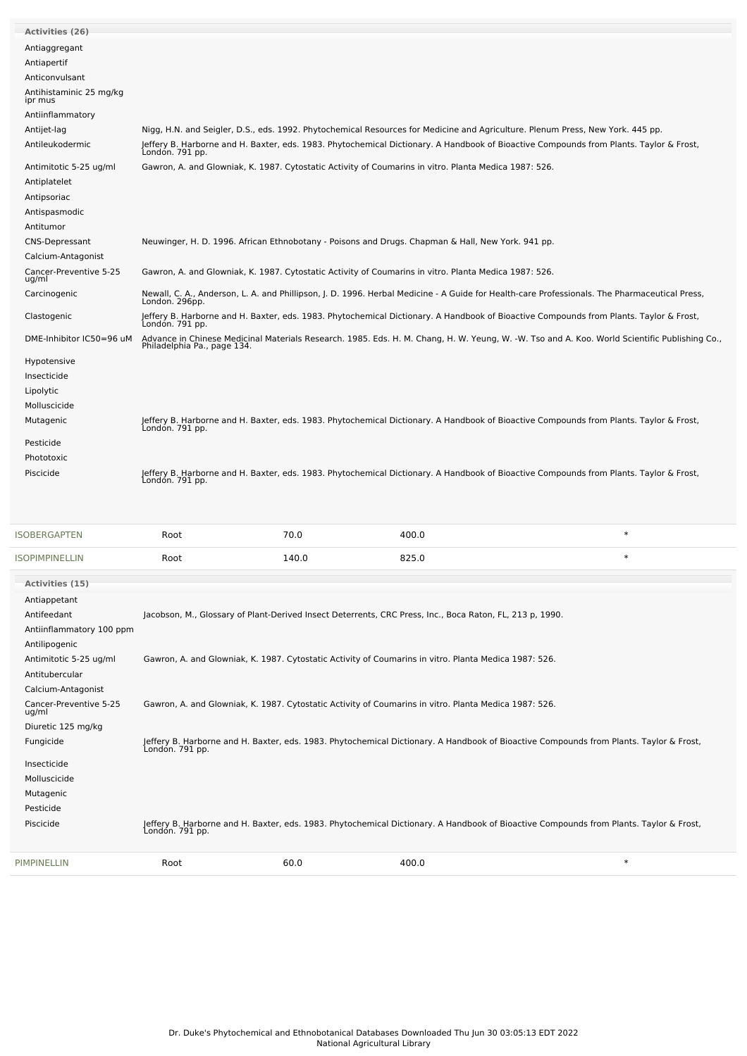| <b>SOPIMPINELLIN</b>            | Root                        | 140.0 | 825.0                                                                                                                                                     | $\ast$ |
|---------------------------------|-----------------------------|-------|-----------------------------------------------------------------------------------------------------------------------------------------------------------|--------|
| <b>SOBERGAPTEN</b>              | Root                        | 70.0  | 400.0                                                                                                                                                     | $\ast$ |
|                                 |                             |       |                                                                                                                                                           |        |
| Piscicide                       | London. 791 pp.             |       | Jeffery B. Harborne and H. Baxter, eds. 1983. Phytochemical Dictionary. A Handbook of Bioactive Compounds from Plants. Taylor & Frost,                    |        |
| Phototoxic                      |                             |       |                                                                                                                                                           |        |
| Pesticide                       |                             |       |                                                                                                                                                           |        |
|                                 |                             |       |                                                                                                                                                           |        |
| Mutagenic                       |                             |       | Jeffery B. Harborne and H. Baxter, eds. 1983. Phytochemical Dictionary. A Handbook of Bioactive Compounds from Plants. Taylor & Frost,<br>London. 791 pp. |        |
| Molluscicide                    |                             |       |                                                                                                                                                           |        |
| Lipolytic                       |                             |       |                                                                                                                                                           |        |
| Insecticide                     |                             |       |                                                                                                                                                           |        |
| Hypotensive                     |                             |       |                                                                                                                                                           |        |
| DME-Inhibitor IC50=96 uM        | Philadelphia Pa., page 134. |       | Advance in Chinese Medicinal Materials Research. 1985. Eds. H. M. Chang, H. W. Yeung, W. -W. Tso and A. Koo. World Scientific Publishing Co.,             |        |
| Clastogenic                     | Londón. 791 pp.             |       | Jeffery B. Harborne and H. Baxter, eds. 1983. Phytochemical Dictionary. A Handbook of Bioactive Compounds from Plants. Taylor & Frost,                    |        |
| Carcinogenic                    | London. 296pp.              |       | Newall, C. A., Anderson, L. A. and Phillipson, J. D. 1996. Herbal Medicine - A Guide for Health-care Professionals. The Pharmaceutical Press,             |        |
| Cancer-Preventive 5-25<br>ug/ml |                             |       | Gawron, A. and Glowniak, K. 1987. Cytostatic Activity of Coumarins in vitro. Planta Medica 1987: 526.                                                     |        |
| Calcium-Antagonist              |                             |       |                                                                                                                                                           |        |
| <b>CNS-Depressant</b>           |                             |       | Neuwinger, H. D. 1996. African Ethnobotany - Poisons and Drugs. Chapman & Hall, New York. 941 pp.                                                         |        |
| Antitumor                       |                             |       |                                                                                                                                                           |        |
| Antispasmodic                   |                             |       |                                                                                                                                                           |        |
| Antipsoriac                     |                             |       |                                                                                                                                                           |        |
| Antiplatelet                    |                             |       |                                                                                                                                                           |        |
| Antimitotic 5-25 ug/ml          |                             |       | Gawron, A. and Glowniak, K. 1987. Cytostatic Activity of Coumarins in vitro. Planta Medica 1987: 526.                                                     |        |
| Antileukodermic                 |                             |       | Jeffery B. Harborne and H. Baxter, eds. 1983. Phytochemical Dictionary. A Handbook of Bioactive Compounds from Plants. Taylor & Frost,<br>London. 791 pp. |        |
| Antijet-lag                     |                             |       | Nigg, H.N. and Seigler, D.S., eds. 1992. Phytochemical Resources for Medicine and Agriculture. Plenum Press, New York. 445 pp.                            |        |
| Antiinflammatory                |                             |       |                                                                                                                                                           |        |
| ipr mus                         |                             |       |                                                                                                                                                           |        |
| Antihistaminic 25 mg/kg         |                             |       |                                                                                                                                                           |        |
| Anticonvulsant                  |                             |       |                                                                                                                                                           |        |
| Antiapertif                     |                             |       |                                                                                                                                                           |        |
| Antiaggregant                   |                             |       |                                                                                                                                                           |        |
| <b>Activities (26)</b>          |                             |       |                                                                                                                                                           |        |

| London. 791 pp. |      |       |                                                                                                                                                                                                                                                                                                                                                                                                                                                                                                                                                                                                                |
|-----------------|------|-------|----------------------------------------------------------------------------------------------------------------------------------------------------------------------------------------------------------------------------------------------------------------------------------------------------------------------------------------------------------------------------------------------------------------------------------------------------------------------------------------------------------------------------------------------------------------------------------------------------------------|
|                 |      |       |                                                                                                                                                                                                                                                                                                                                                                                                                                                                                                                                                                                                                |
|                 |      |       |                                                                                                                                                                                                                                                                                                                                                                                                                                                                                                                                                                                                                |
|                 |      |       |                                                                                                                                                                                                                                                                                                                                                                                                                                                                                                                                                                                                                |
|                 |      |       |                                                                                                                                                                                                                                                                                                                                                                                                                                                                                                                                                                                                                |
| London. 791 pp. |      |       |                                                                                                                                                                                                                                                                                                                                                                                                                                                                                                                                                                                                                |
| Root            | 60.0 | 400.0 | $\ast$                                                                                                                                                                                                                                                                                                                                                                                                                                                                                                                                                                                                         |
|                 |      |       | Jacobson, M., Glossary of Plant-Derived Insect Deterrents, CRC Press, Inc., Boca Raton, FL, 213 p, 1990.<br>Gawron, A. and Glowniak, K. 1987. Cytostatic Activity of Coumarins in vitro. Planta Medica 1987: 526.<br>Gawron, A. and Glowniak, K. 1987. Cytostatic Activity of Coumarins in vitro. Planta Medica 1987: 526.<br>Jeffery B. Harborne and H. Baxter, eds. 1983. Phytochemical Dictionary. A Handbook of Bioactive Compounds from Plants. Taylor & Frost,<br>Jeffery B. Harborne and H. Baxter, eds. 1983. Phytochemical Dictionary. A Handbook of Bioactive Compounds from Plants. Taylor & Frost, |